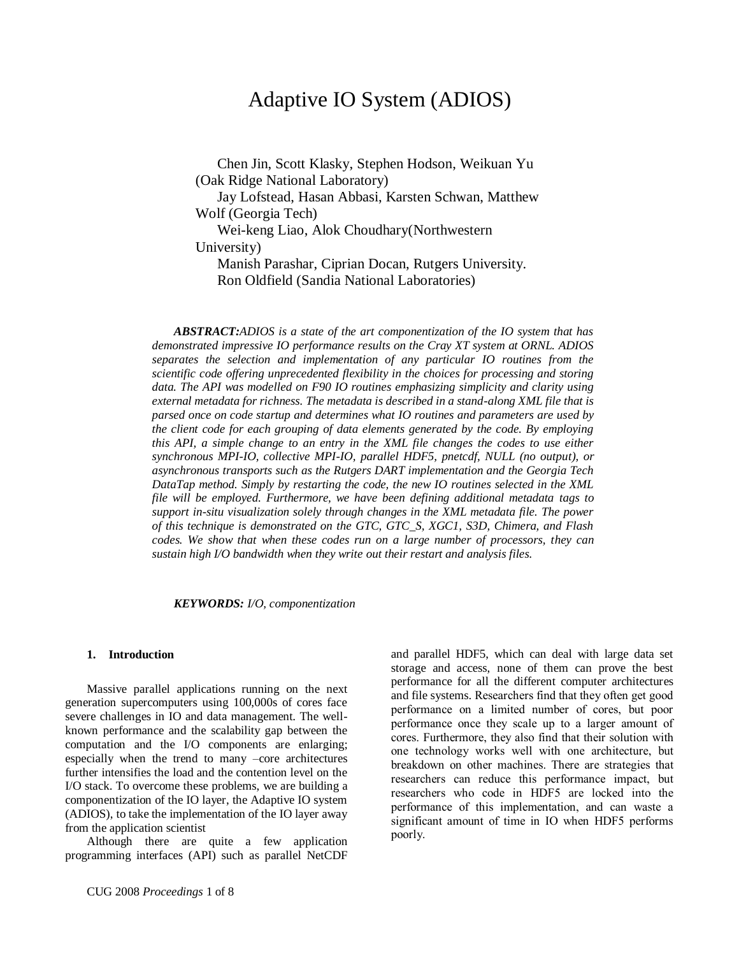# Adaptive IO System (ADIOS)

Chen Jin, Scott Klasky, Stephen Hodson, Weikuan Yu (Oak Ridge National Laboratory)

Jay Lofstead, Hasan Abbasi, Karsten Schwan, Matthew Wolf (Georgia Tech)

Wei-keng Liao, Alok Choudhary(Northwestern University)

Manish Parashar, Ciprian Docan, Rutgers University. Ron Oldfield (Sandia National Laboratories)

*ABSTRACT:ADIOS is a state of the art componentization of the IO system that has demonstrated impressive IO performance results on the Cray XT system at ORNL. ADIOS separates the selection and implementation of any particular IO routines from the scientific code offering unprecedented flexibility in the choices for processing and storing data. The API was modelled on F90 IO routines emphasizing simplicity and clarity using external metadata for richness. The metadata is described in a stand-along XML file that is parsed once on code startup and determines what IO routines and parameters are used by the client code for each grouping of data elements generated by the code. By employing this API, a simple change to an entry in the XML file changes the codes to use either synchronous MPI-IO, collective MPI-IO, parallel HDF5, pnetcdf, NULL (no output), or asynchronous transports such as the Rutgers DART implementation and the Georgia Tech DataTap method. Simply by restarting the code, the new IO routines selected in the XML file will be employed. Furthermore, we have been defining additional metadata tags to support in-situ visualization solely through changes in the XML metadata file. The power of this technique is demonstrated on the GTC, GTC\_S, XGC1, S3D, Chimera, and Flash codes. We show that when these codes run on a large number of processors, they can sustain high I/O bandwidth when they write out their restart and analysis files.*

*KEYWORDS: I/O, componentization*

#### **1. Introduction**

Massive parallel applications running on the next generation supercomputers using 100,000s of cores face severe challenges in IO and data management. The wellknown performance and the scalability gap between the computation and the I/O components are enlarging; especially when the trend to many –core architectures further intensifies the load and the contention level on the I/O stack. To overcome these problems, we are building a componentization of the IO layer, the Adaptive IO system (ADIOS), to take the implementation of the IO layer away from the application scientist

Although there are quite a few application programming interfaces (API) such as parallel NetCDF and parallel HDF5, which can deal with large data set storage and access, none of them can prove the best performance for all the different computer architectures and file systems. Researchers find that they often get good performance on a limited number of cores, but poor performance once they scale up to a larger amount of cores. Furthermore, they also find that their solution with one technology works well with one architecture, but breakdown on other machines. There are strategies that researchers can reduce this performance impact, but researchers who code in HDF5 are locked into the performance of this implementation, and can waste a significant amount of time in IO when HDF5 performs poorly.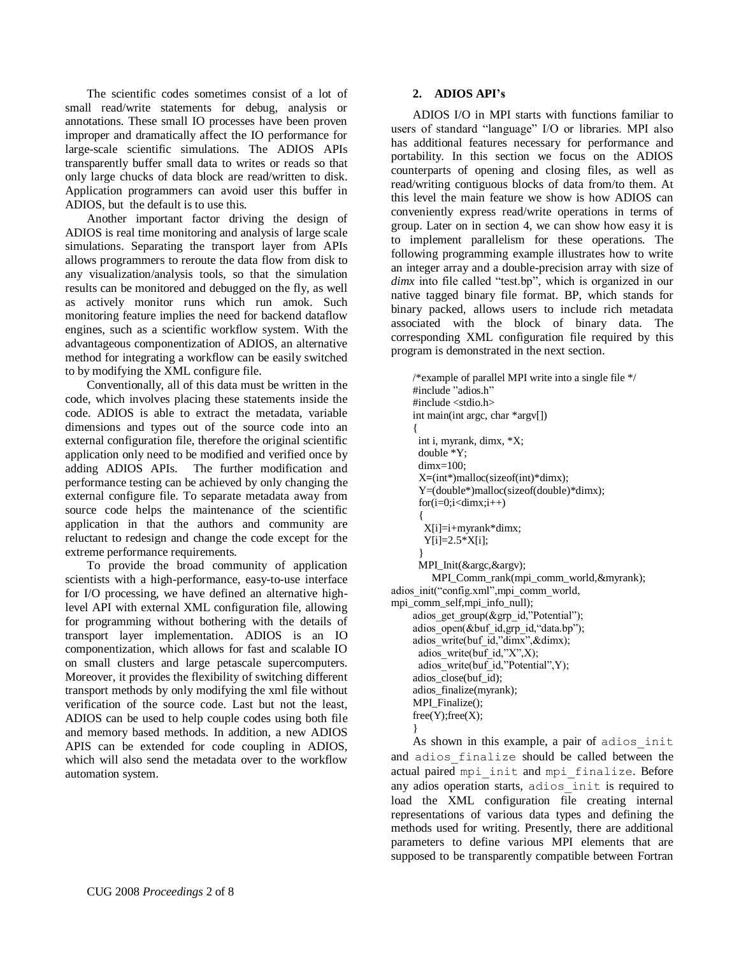The scientific codes sometimes consist of a lot of small read/write statements for debug, analysis or annotations. These small IO processes have been proven improper and dramatically affect the IO performance for large-scale scientific simulations. The ADIOS APIs transparently buffer small data to writes or reads so that only large chucks of data block are read/written to disk. Application programmers can avoid user this buffer in ADIOS, but the default is to use this.

Another important factor driving the design of ADIOS is real time monitoring and analysis of large scale simulations. Separating the transport layer from APIs allows programmers to reroute the data flow from disk to any visualization/analysis tools, so that the simulation results can be monitored and debugged on the fly, as well as actively monitor runs which run amok. Such monitoring feature implies the need for backend dataflow engines, such as a scientific workflow system. With the advantageous componentization of ADIOS, an alternative method for integrating a workflow can be easily switched to by modifying the XML configure file.

Conventionally, all of this data must be written in the code, which involves placing these statements inside the code. ADIOS is able to extract the metadata, variable dimensions and types out of the source code into an external configuration file, therefore the original scientific application only need to be modified and verified once by adding ADIOS APIs. The further modification and performance testing can be achieved by only changing the external configure file. To separate metadata away from source code helps the maintenance of the scientific application in that the authors and community are reluctant to redesign and change the code except for the extreme performance requirements.

To provide the broad community of application scientists with a high-performance, easy-to-use interface for I/O processing, we have defined an alternative highlevel API with external XML configuration file, allowing for programming without bothering with the details of transport layer implementation. ADIOS is an IO componentization, which allows for fast and scalable IO on small clusters and large petascale supercomputers. Moreover, it provides the flexibility of switching different transport methods by only modifying the xml file without verification of the source code. Last but not the least, ADIOS can be used to help couple codes using both file and memory based methods. In addition, a new ADIOS APIS can be extended for code coupling in ADIOS, which will also send the metadata over to the workflow automation system.

# **2. ADIOS API's**

ADIOS I/O in MPI starts with functions familiar to users of standard "language" I/O or libraries. MPI also has additional features necessary for performance and portability. In this section we focus on the ADIOS counterparts of opening and closing files, as well as read/writing contiguous blocks of data from/to them. At this level the main feature we show is how ADIOS can conveniently express read/write operations in terms of group. Later on in section 4, we can show how easy it is to implement parallelism for these operations. The following programming example illustrates how to write an integer array and a double-precision array with size of *dimx* into file called "test.bp", which is organized in our native tagged binary file format. BP, which stands for binary packed, allows users to include rich metadata associated with the block of binary data. The corresponding XML configuration file required by this program is demonstrated in the next section.

/\*example of parallel MPI write into a single file \*/ #include "adios.h" #include <stdio.h> int main(int argc, char \*argv[]) { int i, myrank, dimx, \*X; double \*Y; dimx=100; X**=**(int\*)malloc(sizeof(int)\*dimx); Y=(double\*)malloc(sizeof(double)\*dimx);  $for(i=0;i<$ dimx; $i++$ ) {  $X[i]=i+myrank*dimx;$  $Y[i]=2.5*X[i];$  } MPI\_Init(&argc,&argv); MPI\_Comm\_rank(mpi\_comm\_world,&myrank); adios\_init("config.xml",mpi\_comm\_world, mpi\_comm\_self,mpi\_info\_null); adios\_get\_group(&grp\_id,"Potential"); adios\_open(&buf\_id,grp\_id,"data.bp"); adios\_write(buf\_id,"dimx",&dimx); adios write(buf  $id$ , "X", X); adios\_write(buf\_id,"Potential",Y); adios\_close(buf\_id); adios\_finalize(myrank); MPI\_Finalize();  $free(Y); free(X);$ 

As shown in this example, a pair of adios\_init and adios finalize should be called between the actual paired mpi init and mpi finalize. Before any adios operation starts, adios\_init is required to load the XML configuration file creating internal representations of various data types and defining the methods used for writing. Presently, there are additional parameters to define various MPI elements that are supposed to be transparently compatible between Fortran

}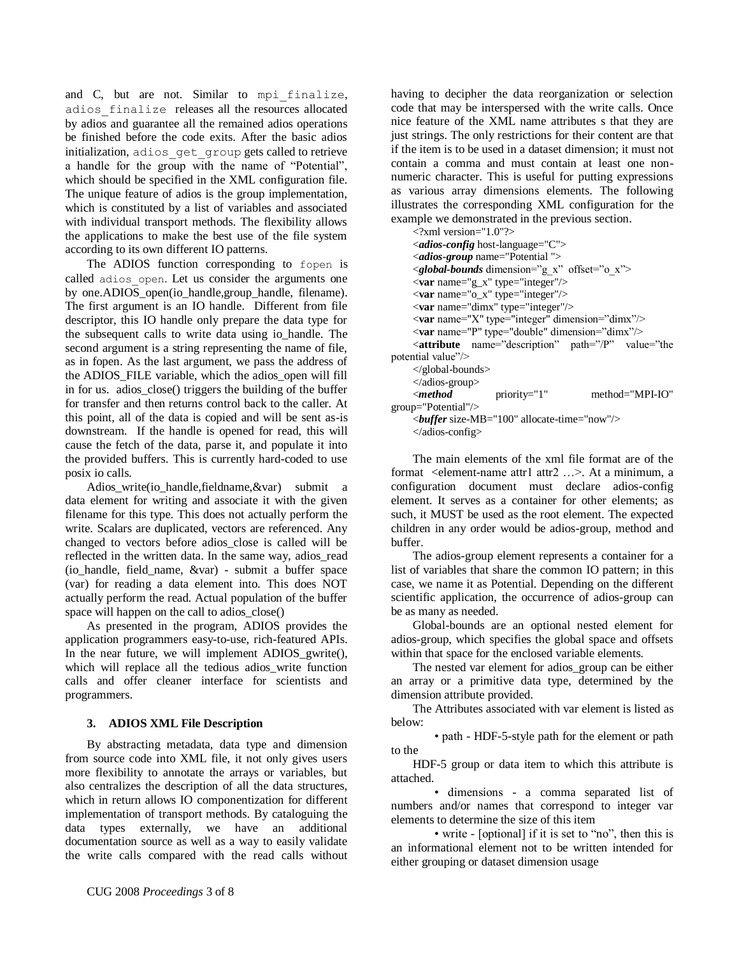and C, but are not. Similar to mpi finalize, adios\_finalize releases all the resources allocated by adios and guarantee all the remained adios operations be finished before the code exits. After the basic adios initialization, adios\_get\_group gets called to retrieve a handle for the group with the name of "Potential", which should be specified in the XML configuration file. The unique feature of adios is the group implementation, which is constituted by a list of variables and associated with individual transport methods. The flexibility allows the applications to make the best use of the file system according to its own different IO patterns.

The ADIOS function corresponding to fopen is called adios open. Let us consider the arguments one by one. $ADIO\overline{S}$  open(io\_handle, group\_handle, filename). The first argument is an IO handle. Different from file descriptor, this IO handle only prepare the data type for the subsequent calls to write data using io\_handle. The second argument is a string representing the name of file, as in fopen. As the last argument, we pass the address of the ADIOS\_FILE variable, which the adios\_open will fill in for us. adios\_close() triggers the building of the buffer for transfer and then returns control back to the caller. At this point, all of the data is copied and will be sent as-is downstream. If the handle is opened for read, this will cause the fetch of the data, parse it, and populate it into the provided buffers. This is currently hard-coded to use posix io calls.

Adios write(io handle,fieldname, &var) submit a data element for writing and associate it with the given filename for this type. This does not actually perform the write. Scalars are duplicated, vectors are referenced. Any changed to vectors before adios\_close is called will be reflected in the written data. In the same way, adios\_read (io\_handle, field\_name, &var) - submit a buffer space (var) for reading a data element into. This does NOT actually perform the read. Actual population of the buffer space will happen on the call to adios\_close()

As presented in the program, ADIOS provides the application programmers easy-to-use, rich-featured APIs. In the near future, we will implement ADIOS gwrite(), which will replace all the tedious adios write function calls and offer cleaner interface for scientists and programmers.

# **3. ADIOS XML File Description**

By abstracting metadata, data type and dimension from source code into XML file, it not only gives users more flexibility to annotate the arrays or variables, but also centralizes the description of all the data structures, which in return allows IO componentization for different implementation of transport methods. By cataloguing the data types externally, we have an additional documentation source as well as a way to easily validate the write calls compared with the read calls without

having to decipher the data reorganization or selection code that may be interspersed with the write calls. Once nice feature of the XML name attributes s that they are just strings. The only restrictions for their content are that if the item is to be used in a dataset dimension; it must not contain a comma and must contain at least one nonnumeric character. This is useful for putting expressions as various array dimensions elements. The following illustrates the corresponding XML configuration for the example we demonstrated in the previous section.

| $\langle$ ?xml version="1.0"?>                                    |
|-------------------------------------------------------------------|
| <i><adios-config< i=""> host-language="C"&gt;</adios-config<></i> |
| <i><adios-group< i=""> name="Potential"&gt;</adios-group<></i>    |
| <global-bounds dimension="g x" offset="o x"></global-bounds>      |
| $\langle var$ name="g_x" type="integer"/>                         |
| <var name="o_x" type="integer"></var>                             |
| <var name="dimx" type="integer"></var>                            |
| $\langle var$ name="X" type="integer" dimension="dimx"/>          |
| <var dimension="dimx" name="P" type="double"></var>               |
| $\leq$ <b>attribute</b> name="description" path="/P" value="the   |
| potential value"/>                                                |
| $\langle$ global-bounds>                                          |
| $\triangleleft$ adios-group $>$                                   |
| $\leq$ method<br>method="MPI-IO"<br>$priority="1"$                |
| group="Potential"/>                                               |
| $\epsilon$ buffer size-MB="100" allocate-time="now"/>             |
|                                                                   |

</adios-config>

The main elements of the xml file format are of the format <element-name attr1 attr2 ...>. At a minimum, a configuration document must declare adios-config element. It serves as a container for other elements; as such, it MUST be used as the root element. The expected children in any order would be adios-group, method and buffer.

The adios-group element represents a container for a list of variables that share the common IO pattern; in this case, we name it as Potential. Depending on the different scientific application, the occurrence of adios-group can be as many as needed.

Global-bounds are an optional nested element for adios-group, which specifies the global space and offsets within that space for the enclosed variable elements.

The nested var element for adios\_group can be either an array or a primitive data type, determined by the dimension attribute provided.

The Attributes associated with var element is listed as below:

• path - HDF-5-style path for the element or path to the

HDF-5 group or data item to which this attribute is attached.

• dimensions - a comma separated list of numbers and/or names that correspond to integer var elements to determine the size of this item

• write - [optional] if it is set to "no", then this is an informational element not to be written intended for either grouping or dataset dimension usage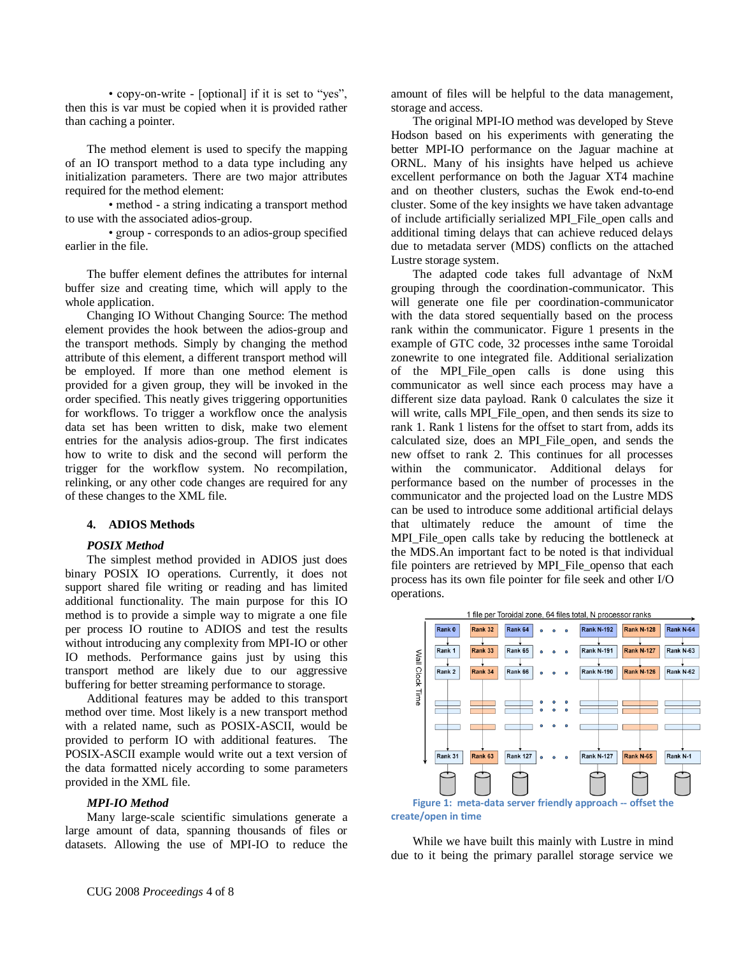• copy-on-write - [optional] if it is set to "yes", then this is var must be copied when it is provided rather than caching a pointer.

The method element is used to specify the mapping of an IO transport method to a data type including any initialization parameters. There are two major attributes required for the method element:

• method - a string indicating a transport method to use with the associated adios-group.

• group - corresponds to an adios-group specified earlier in the file.

The buffer element defines the attributes for internal buffer size and creating time, which will apply to the whole application.

Changing IO Without Changing Source: The method element provides the hook between the adios-group and the transport methods. Simply by changing the method attribute of this element, a different transport method will be employed. If more than one method element is provided for a given group, they will be invoked in the order specified. This neatly gives triggering opportunities for workflows. To trigger a workflow once the analysis data set has been written to disk, make two element entries for the analysis adios-group. The first indicates how to write to disk and the second will perform the trigger for the workflow system. No recompilation, relinking, or any other code changes are required for any of these changes to the XML file.

# **4. ADIOS Methods**

## *POSIX Method*

The simplest method provided in ADIOS just does binary POSIX IO operations. Currently, it does not support shared file writing or reading and has limited additional functionality. The main purpose for this IO method is to provide a simple way to migrate a one file per process IO routine to ADIOS and test the results without introducing any complexity from MPI-IO or other IO methods. Performance gains just by using this transport method are likely due to our aggressive buffering for better streaming performance to storage.

Additional features may be added to this transport method over time. Most likely is a new transport method with a related name, such as POSIX-ASCII, would be provided to perform IO with additional features. The POSIX-ASCII example would write out a text version of the data formatted nicely according to some parameters provided in the XML file.

# *MPI-IO Method*

Many large-scale scientific simulations generate a large amount of data, spanning thousands of files or datasets. Allowing the use of MPI-IO to reduce the amount of files will be helpful to the data management, storage and access.

The original MPI-IO method was developed by Steve Hodson based on his experiments with generating the better MPI-IO performance on the Jaguar machine at ORNL. Many of his insights have helped us achieve excellent performance on both the Jaguar XT4 machine and on theother clusters, suchas the Ewok end-to-end cluster. Some of the key insights we have taken advantage of include artificially serialized MPI\_File\_open calls and additional timing delays that can achieve reduced delays due to metadata server (MDS) conflicts on the attached Lustre storage system.

The adapted code takes full advantage of NxM grouping through the coordination-communicator. This will generate one file per coordination-communicator with the data stored sequentially based on the process rank within the communicator. Figure 1 presents in the example of GTC code, 32 processes inthe same Toroidal zonewrite to one integrated file. Additional serialization of the MPI\_File\_open calls is done using this communicator as well since each process may have a different size data payload. Rank 0 calculates the size it will write, calls MPI\_File\_open, and then sends its size to rank 1. Rank 1 listens for the offset to start from, adds its calculated size, does an MPI\_File\_open, and sends the new offset to rank 2. This continues for all processes within the communicator. Additional delays for performance based on the number of processes in the communicator and the projected load on the Lustre MDS can be used to introduce some additional artificial delays that ultimately reduce the amount of time the MPI\_File\_open calls take by reducing the bottleneck at the MDS.An important fact to be noted is that individual file pointers are retrieved by MPI\_File\_openso that each process has its own file pointer for file seek and other I/O operations.



While we have built this mainly with Lustre in mind due to it being the primary parallel storage service we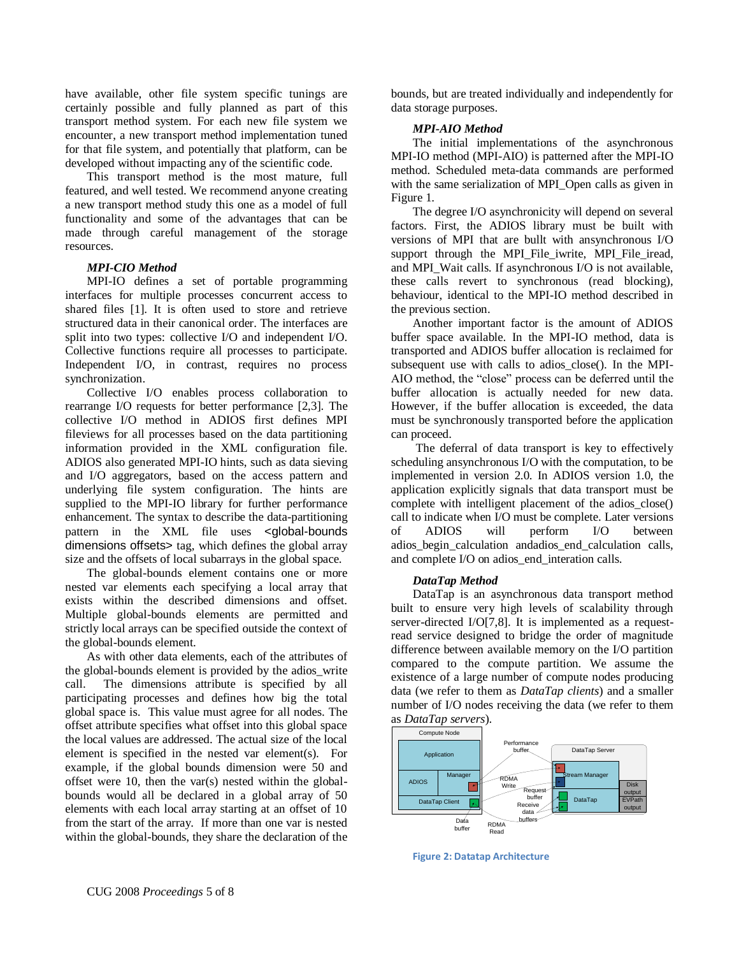have available, other file system specific tunings are certainly possible and fully planned as part of this transport method system. For each new file system we encounter, a new transport method implementation tuned for that file system, and potentially that platform, can be developed without impacting any of the scientific code.

This transport method is the most mature, full featured, and well tested. We recommend anyone creating a new transport method study this one as a model of full functionality and some of the advantages that can be made through careful management of the storage resources.

## *MPI-CIO Method*

MPI-IO defines a set of portable programming interfaces for multiple processes concurrent access to shared files [1]. It is often used to store and retrieve structured data in their canonical order. The interfaces are split into two types: collective I/O and independent I/O. Collective functions require all processes to participate. Independent I/O, in contrast, requires no process synchronization.

Collective I/O enables process collaboration to rearrange I/O requests for better performance [2,3]. The collective I/O method in ADIOS first defines MPI fileviews for all processes based on the data partitioning information provided in the XML configuration file. ADIOS also generated MPI-IO hints, such as data sieving and I/O aggregators, based on the access pattern and underlying file system configuration. The hints are supplied to the MPI-IO library for further performance enhancement. The syntax to describe the data-partitioning pattern in the XML file uses <global-bounds dimensions offsets> tag, which defines the global array size and the offsets of local subarrays in the global space.

The global-bounds element contains one or more nested var elements each specifying a local array that exists within the described dimensions and offset. Multiple global-bounds elements are permitted and strictly local arrays can be specified outside the context of the global-bounds element.

As with other data elements, each of the attributes of the global-bounds element is provided by the adios\_write call. The dimensions attribute is specified by all participating processes and defines how big the total global space is. This value must agree for all nodes. The offset attribute specifies what offset into this global space the local values are addressed. The actual size of the local element is specified in the nested var element(s). For example, if the global bounds dimension were 50 and offset were 10, then the var(s) nested within the globalbounds would all be declared in a global array of 50 elements with each local array starting at an offset of 10 from the start of the array. If more than one var is nested within the global-bounds, they share the declaration of the bounds, but are treated individually and independently for data storage purposes.

#### *MPI-AIO Method*

The initial implementations of the asynchronous MPI-IO method (MPI-AIO) is patterned after the MPI-IO method. Scheduled meta-data commands are performed with the same serialization of MPI\_Open calls as given in Figure 1.

The degree I/O asynchronicity will depend on several factors. First, the ADIOS library must be built with versions of MPI that are bullt with ansynchronous I/O support through the MPI\_File\_iwrite, MPI\_File\_iread, and MPI Wait calls. If asynchronous I/O is not available. these calls revert to synchronous (read blocking), behaviour, identical to the MPI-IO method described in the previous section.

Another important factor is the amount of ADIOS buffer space available. In the MPI-IO method, data is transported and ADIOS buffer allocation is reclaimed for subsequent use with calls to adios\_close(). In the MPI-AIO method, the "close" process can be deferred until the buffer allocation is actually needed for new data. However, if the buffer allocation is exceeded, the data must be synchronously transported before the application can proceed.

The deferral of data transport is key to effectively scheduling ansynchronous I/O with the computation, to be implemented in version 2.0. In ADIOS version 1.0, the application explicitly signals that data transport must be complete with intelligent placement of the adios\_close() call to indicate when I/O must be complete. Later versions of ADIOS will perform I/O between adios\_begin\_calculation andadios\_end\_calculation calls, and complete I/O on adios\_end\_interation calls.

#### *DataTap Method*

DataTap is an asynchronous data transport method built to ensure very high levels of scalability through server-directed I/O[7,8]. It is implemented as a requestread service designed to bridge the order of magnitude difference between available memory on the I/O partition compared to the compute partition. We assume the existence of a large number of compute nodes producing data (we refer to them as *DataTap clients*) and a smaller number of I/O nodes receiving the data (we refer to them





**Figure 2: Datatap Architecture**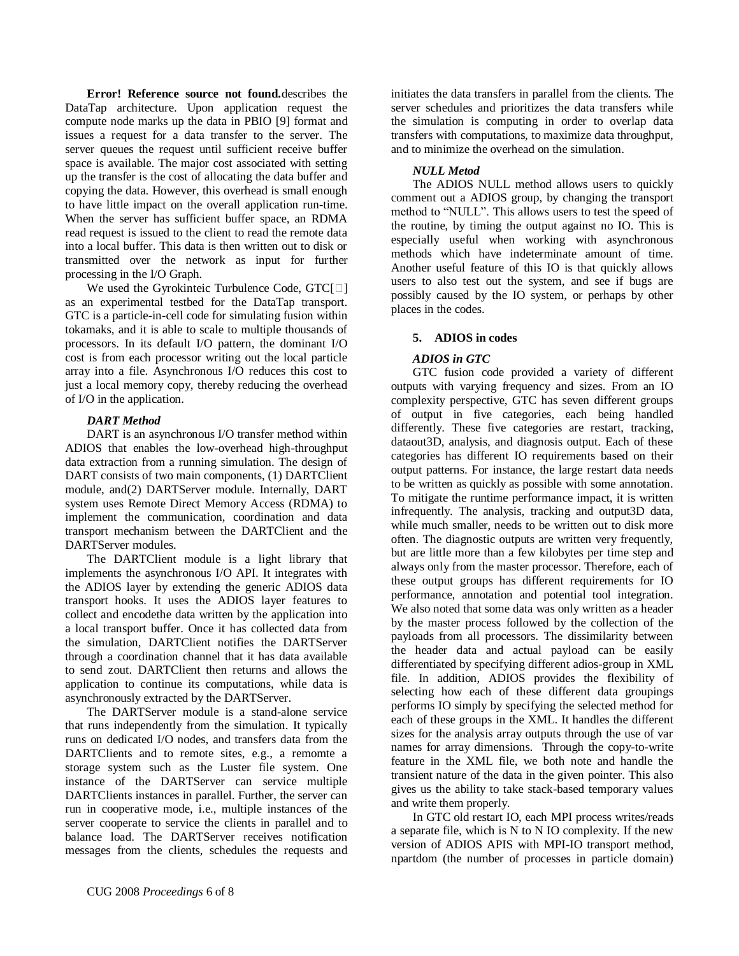**Error! Reference source not found.**describes the DataTap architecture. Upon application request the compute node marks up the data in PBIO [9] format and issues a request for a data transfer to the server. The server queues the request until sufficient receive buffer space is available. The major cost associated with setting up the transfer is the cost of allocating the data buffer and copying the data. However, this overhead is small enough to have little impact on the overall application run-time. When the server has sufficient buffer space, an RDMA read request is issued to the client to read the remote data into a local buffer. This data is then written out to disk or transmitted over the network as input for further processing in the I/O Graph.

We used the Gyrokinteic Turbulence Code,  $GTC[\Box]$ as an experimental testbed for the DataTap transport. GTC is a particle-in-cell code for simulating fusion within tokamaks, and it is able to scale to multiple thousands of processors. In its default I/O pattern, the dominant I/O cost is from each processor writing out the local particle array into a file. Asynchronous I/O reduces this cost to just a local memory copy, thereby reducing the overhead of I/O in the application.

## *DART Method*

DART is an asynchronous I/O transfer method within ADIOS that enables the low-overhead high-throughput data extraction from a running simulation. The design of DART consists of two main components, (1) DARTClient module, and(2) DARTServer module. Internally, DART system uses Remote Direct Memory Access (RDMA) to implement the communication, coordination and data transport mechanism between the DARTClient and the DARTServer modules.

The DARTClient module is a light library that implements the asynchronous I/O API. It integrates with the ADIOS layer by extending the generic ADIOS data transport hooks. It uses the ADIOS layer features to collect and encodethe data written by the application into a local transport buffer. Once it has collected data from the simulation, DARTClient notifies the DARTServer through a coordination channel that it has data available to send zout. DARTClient then returns and allows the application to continue its computations, while data is asynchronously extracted by the DARTServer.

The DARTServer module is a stand-alone service that runs independently from the simulation. It typically runs on dedicated I/O nodes, and transfers data from the DARTClients and to remote sites, e.g., a remomte a storage system such as the Luster file system. One instance of the DARTServer can service multiple DARTClients instances in parallel. Further, the server can run in cooperative mode, i.e., multiple instances of the server cooperate to service the clients in parallel and to balance load. The DARTServer receives notification messages from the clients, schedules the requests and initiates the data transfers in parallel from the clients. The server schedules and prioritizes the data transfers while the simulation is computing in order to overlap data transfers with computations, to maximize data throughput, and to minimize the overhead on the simulation.

## *NULL Metod*

The ADIOS NULL method allows users to quickly comment out a ADIOS group, by changing the transport method to "NULL". This allows users to test the speed of the routine, by timing the output against no IO. This is especially useful when working with asynchronous methods which have indeterminate amount of time. Another useful feature of this IO is that quickly allows users to also test out the system, and see if bugs are possibly caused by the IO system, or perhaps by other places in the codes.

# **5. ADIOS in codes**

# *ADIOS in GTC*

GTC fusion code provided a variety of different outputs with varying frequency and sizes. From an IO complexity perspective, GTC has seven different groups of output in five categories, each being handled differently. These five categories are restart, tracking, dataout3D, analysis, and diagnosis output. Each of these categories has different IO requirements based on their output patterns. For instance, the large restart data needs to be written as quickly as possible with some annotation. To mitigate the runtime performance impact, it is written infrequently. The analysis, tracking and output3D data, while much smaller, needs to be written out to disk more often. The diagnostic outputs are written very frequently, but are little more than a few kilobytes per time step and always only from the master processor. Therefore, each of these output groups has different requirements for IO performance, annotation and potential tool integration. We also noted that some data was only written as a header by the master process followed by the collection of the payloads from all processors. The dissimilarity between the header data and actual payload can be easily differentiated by specifying different adios-group in XML file. In addition, ADIOS provides the flexibility of selecting how each of these different data groupings performs IO simply by specifying the selected method for each of these groups in the XML. It handles the different sizes for the analysis array outputs through the use of var names for array dimensions. Through the copy-to-write feature in the XML file, we both note and handle the transient nature of the data in the given pointer. This also gives us the ability to take stack-based temporary values and write them properly.

In GTC old restart IO, each MPI process writes/reads a separate file, which is N to N IO complexity. If the new version of ADIOS APIS with MPI-IO transport method, npartdom (the number of processes in particle domain)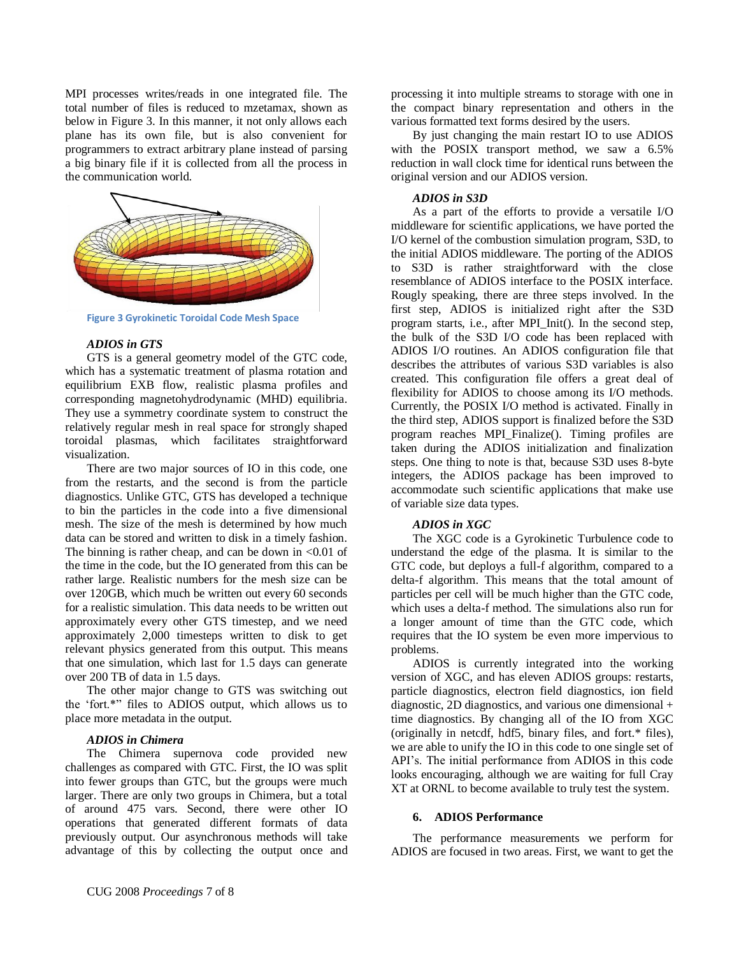MPI processes writes/reads in one integrated file. The total number of files is reduced to mzetamax, shown as below in [Figure 3.](#page-6-0) In this manner, it not only allows each plane has its own file, but is also convenient for programmers to extract arbitrary plane instead of parsing a big binary file if it is collected from all the process in the communication world.



<span id="page-6-0"></span>**Figure 3 Gyrokinetic Toroidal Code Mesh Space**

## *ADIOS in GTS*

GTS is a general geometry model of the GTC code, which has a systematic treatment of plasma rotation and equilibrium EXB flow, realistic plasma profiles and corresponding magnetohydrodynamic (MHD) equilibria. They use a symmetry coordinate system to construct the relatively regular mesh in real space for strongly shaped toroidal plasmas, which facilitates straightforward visualization.

There are two major sources of IO in this code, one from the restarts, and the second is from the particle diagnostics. Unlike GTC, GTS has developed a technique to bin the particles in the code into a five dimensional mesh. The size of the mesh is determined by how much data can be stored and written to disk in a timely fashion. The binning is rather cheap, and can be down in  $\leq 0.01$  of the time in the code, but the IO generated from this can be rather large. Realistic numbers for the mesh size can be over 120GB, which much be written out every 60 seconds for a realistic simulation. This data needs to be written out approximately every other GTS timestep, and we need approximately 2,000 timesteps written to disk to get relevant physics generated from this output. This means that one simulation, which last for 1.5 days can generate over 200 TB of data in 1.5 days.

The other major change to GTS was switching out the "fort.\*" files to ADIOS output, which allows us to place more metadata in the output.

## *ADIOS in Chimera*

The Chimera supernova code provided new challenges as compared with GTC. First, the IO was split into fewer groups than GTC, but the groups were much larger. There are only two groups in Chimera, but a total of around 475 vars. Second, there were other IO operations that generated different formats of data previously output. Our asynchronous methods will take advantage of this by collecting the output once and processing it into multiple streams to storage with one in the compact binary representation and others in the various formatted text forms desired by the users.

By just changing the main restart IO to use ADIOS with the POSIX transport method, we saw a 6.5% reduction in wall clock time for identical runs between the original version and our ADIOS version.

#### *ADIOS in S3D*

As a part of the efforts to provide a versatile I/O middleware for scientific applications, we have ported the I/O kernel of the combustion simulation program, S3D, to the initial ADIOS middleware. The porting of the ADIOS to S3D is rather straightforward with the close resemblance of ADIOS interface to the POSIX interface. Rougly speaking, there are three steps involved. In the first step, ADIOS is initialized right after the S3D program starts, i.e., after MPI\_Init(). In the second step, the bulk of the S3D I/O code has been replaced with ADIOS I/O routines. An ADIOS configuration file that describes the attributes of various S3D variables is also created. This configuration file offers a great deal of flexibility for ADIOS to choose among its I/O methods. Currently, the POSIX I/O method is activated. Finally in the third step, ADIOS support is finalized before the S3D program reaches MPI\_Finalize(). Timing profiles are taken during the ADIOS initialization and finalization steps. One thing to note is that, because S3D uses 8-byte integers, the ADIOS package has been improved to accommodate such scientific applications that make use of variable size data types.

## *ADIOS in XGC*

The XGC code is a Gyrokinetic Turbulence code to understand the edge of the plasma. It is similar to the GTC code, but deploys a full-f algorithm, compared to a delta-f algorithm. This means that the total amount of particles per cell will be much higher than the GTC code, which uses a delta-f method. The simulations also run for a longer amount of time than the GTC code, which requires that the IO system be even more impervious to problems.

ADIOS is currently integrated into the working version of XGC, and has eleven ADIOS groups: restarts, particle diagnostics, electron field diagnostics, ion field diagnostic, 2D diagnostics, and various one dimensional + time diagnostics. By changing all of the IO from XGC (originally in netcdf, hdf5, binary files, and fort.\* files), we are able to unify the IO in this code to one single set of API"s. The initial performance from ADIOS in this code looks encouraging, although we are waiting for full Cray XT at ORNL to become available to truly test the system.

## **6. ADIOS Performance**

The performance measurements we perform for ADIOS are focused in two areas. First, we want to get the